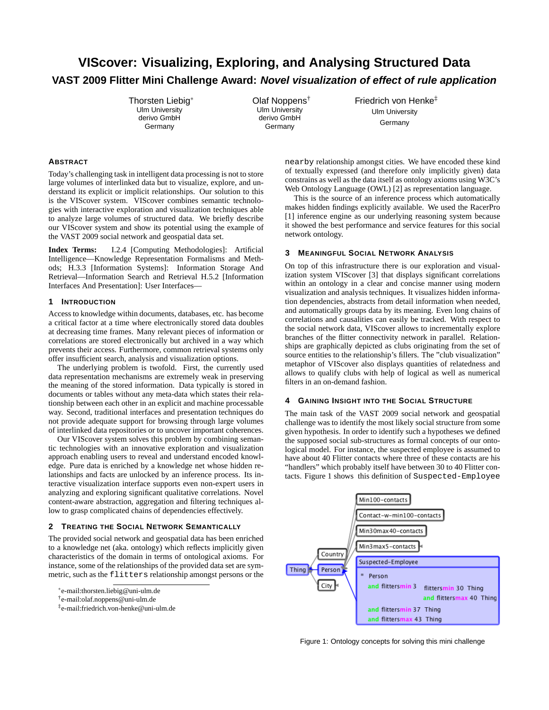# **VIScover: Visualizing, Exploring, and Analysing Structured Data VAST 2009 Flitter Mini Challenge Award: Novel visualization of effect of rule application**

Thorsten Liebig<sup>∗</sup> Ulm University derivo GmbH Germany

Olaf Noppens† Ulm University derivo GmbH **Germany** 

Friedrich von Henke‡ Ulm University Germany

## **ABSTRACT**

Today's challenging task in intelligent data processing is not to store large volumes of interlinked data but to visualize, explore, and understand its explicit or implicit relationships. Our solution to this is the VIScover system. VIScover combines semantic technologies with interactive exploration and visualization techniques able to analyze large volumes of structured data. We briefly describe our VIScover system and show its potential using the example of the VAST 2009 social network and geospatial data set.

**Index Terms:** I.2.4 [Computing Methodologies]: Artificial Intelligence—Knowledge Representation Formalisms and Methods; H.3.3 [Information Systems]: Information Storage And Retrieval—Information Search and Retrieval H.5.2 [Information Interfaces And Presentation]: User Interfaces—

### **1 INTRODUCTION**

Access to knowledge within documents, databases, etc. has become a critical factor at a time where electronically stored data doubles at decreasing time frames. Many relevant pieces of information or correlations are stored electronically but archived in a way which prevents their access. Furthermore, common retrieval systems only offer insufficient search, analysis and visualization options.

The underlying problem is twofold. First, the currently used data representation mechanisms are extremely weak in preserving the meaning of the stored information. Data typically is stored in documents or tables without any meta-data which states their relationship between each other in an explicit and machine processable way. Second, traditional interfaces and presentation techniques do not provide adequate support for browsing through large volumes of interlinked data repositories or to uncover important coherences.

Our VIScover system solves this problem by combining semantic technologies with an innovative exploration and visualization approach enabling users to reveal and understand encoded knowledge. Pure data is enriched by a knowledge net whose hidden relationships and facts are unlocked by an inference process. Its interactive visualization interface supports even non-expert users in analyzing and exploring significant qualitative correlations. Novel content-aware abstraction, aggregation and filtering techniques allow to grasp complicated chains of dependencies effectively.

### **2 TREATING THE SOCIAL NETWORK SEMANTICALLY**

The provided social network and geospatial data has been enriched to a knowledge net (aka. ontology) which reflects implicitly given characteristics of the domain in terms of ontological axioms. For instance, some of the relationships of the provided data set are symmetric, such as the flitters relationship amongst persons or the

nearby relationship amongst cities. We have encoded these kind of textually expressed (and therefore only implicitly given) data constrains as well as the data itself as ontology axioms using W3C's Web Ontology Language (OWL) [2] as representation language.

This is the source of an inference process which automatically makes hidden findings explicitly available. We used the RacerPro [1] inference engine as our underlying reasoning system because it showed the best performance and service features for this social network ontology.

# **3 MEANINGFUL SOCIAL NETWORK ANALYSIS**

On top of this infrastructure there is our exploration and visualization system VIScover [3] that displays significant correlations within an ontology in a clear and concise manner using modern visualization and analysis techniques. It visualizes hidden information dependencies, abstracts from detail information when needed, and automatically groups data by its meaning. Even long chains of correlations and causalities can easily be tracked. With respect to the social network data, VIScover allows to incrementally explore branches of the flitter connectivity network in parallel. Relationships are graphically depicted as clubs originating from the set of source entities to the relationship's fillers. The "club visualization" metaphor of VIScover also displays quantities of relatedness and allows to qualify clubs with help of logical as well as numerical filters in an on-demand fashion.

## **4 GAINING INSIGHT INTO THE SOCIAL STRUCTURE**

The main task of the VAST 2009 social network and geospatial challenge was to identify the most likely social structure from some given hypothesis. In order to identify such a hypotheses we defined the supposed social sub-structures as formal concepts of our ontological model. For instance, the suspected employee is assumed to have about 40 Flitter contacts where three of these contacts are his "handlers" which probably itself have between 30 to 40 Flitter contacts. Figure 1 shows this definition of Suspected-Employee



Figure 1: Ontology concepts for solving this mini challenge

<sup>∗</sup> e-mail:thorsten.liebig@uni-ulm.de

<sup>†</sup> e-mail:olaf.noppens@uni-ulm.de

<sup>‡</sup> e-mail:friedrich.von-henke@uni-ulm.de